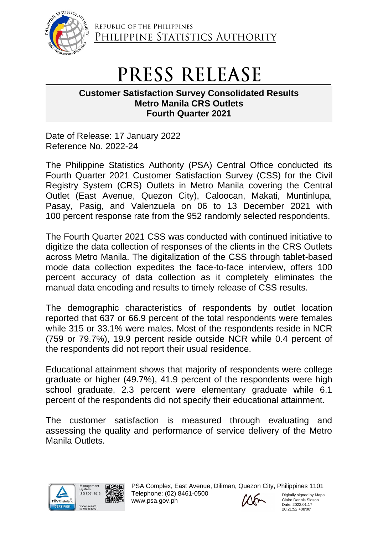

REPUBLIC OF THE PHILIPPINES PHILIPPINE STATISTICS AUTHORITY

## PRESS RELEASE

## **Customer Satisfaction Survey Consolidated Results Metro Manila CRS Outlets Fourth Quarter 2021**

Date of Release: 17 January 2022 Reference No. 2022-24

The Philippine Statistics Authority (PSA) Central Office conducted its Fourth Quarter 2021 Customer Satisfaction Survey (CSS) for the Civil Registry System (CRS) Outlets in Metro Manila covering the Central Outlet (East Avenue, Quezon City), Caloocan, Makati, Muntinlupa, Pasay, Pasig, and Valenzuela on 06 to 13 December 2021 with 100 percent response rate from the 952 randomly selected respondents.

The Fourth Quarter 2021 CSS was conducted with continued initiative to digitize the data collection of responses of the clients in the CRS Outlets across Metro Manila. The digitalization of the CSS through tablet-based mode data collection expedites the face-to-face interview, offers 100 percent accuracy of data collection as it completely eliminates the manual data encoding and results to timely release of CSS results.

The demographic characteristics of respondents by outlet location reported that 637 or 66.9 percent of the total respondents were females while 315 or 33.1% were males. Most of the respondents reside in NCR (759 or 79.7%), 19.9 percent reside outside NCR while 0.4 percent of the respondents did not report their usual residence.

Educational attainment shows that majority of respondents were college graduate or higher (49.7%), 41.9 percent of the respondents were high school graduate, 2.3 percent were elementary graduate while 6.1 percent of the respondents did not specify their educational attainment.

The customer satisfaction is measured through evaluating and assessing the quality and performance of service delivery of the Metro Manila Outlets.